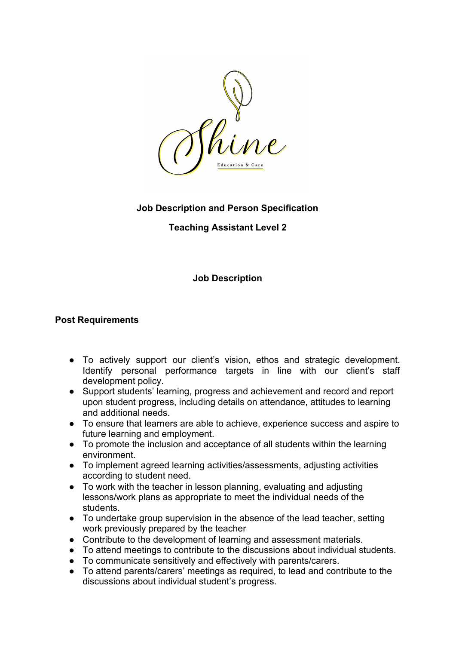

# **Job Description and Person Specification**

# **Teaching Assistant Level 2**

# **Job Description**

## **Post Requirements**

- **●** To actively support our client's vision, ethos and strategic development. Identify personal performance targets in line with our client's staff development policy.
- Support students' learning, progress and achievement and record and report upon student progress, including details on attendance, attitudes to learning and additional needs.
- To ensure that learners are able to achieve, experience success and aspire to future learning and employment.
- To promote the inclusion and acceptance of all students within the learning environment.
- To implement agreed learning activities/assessments, adjusting activities according to student need.
- To work with the teacher in lesson planning, evaluating and adjusting lessons/work plans as appropriate to meet the individual needs of the students.
- To undertake group supervision in the absence of the lead teacher, setting work previously prepared by the teacher
- Contribute to the development of learning and assessment materials.
- To attend meetings to contribute to the discussions about individual students.
- To communicate sensitively and effectively with parents/carers.
- To attend parents/carers' meetings as required, to lead and contribute to the discussions about individual student's progress.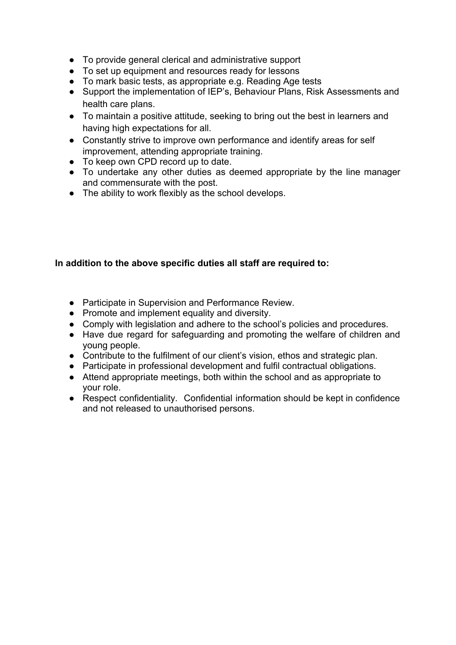- To provide general clerical and administrative support
- To set up equipment and resources ready for lessons
- To mark basic tests, as appropriate e.g. Reading Age tests
- Support the implementation of IEP's, Behaviour Plans, Risk Assessments and health care plans.
- To maintain a positive attitude, seeking to bring out the best in learners and having high expectations for all.
- Constantly strive to improve own performance and identify areas for self improvement, attending appropriate training.
- To keep own CPD record up to date.
- To undertake any other duties as deemed appropriate by the line manager and commensurate with the post.
- **●** The ability to work flexibly as the school develops.

## **In addition to the above specific duties all staff are required to:**

- Participate in Supervision and Performance Review.
- Promote and implement equality and diversity.
- Comply with legislation and adhere to the school's policies and procedures.
- Have due regard for safeguarding and promoting the welfare of children and young people.
- Contribute to the fulfilment of our client's vision, ethos and strategic plan.
- Participate in professional development and fulfil contractual obligations.
- Attend appropriate meetings, both within the school and as appropriate to your role.
- Respect confidentiality. Confidential information should be kept in confidence and not released to unauthorised persons.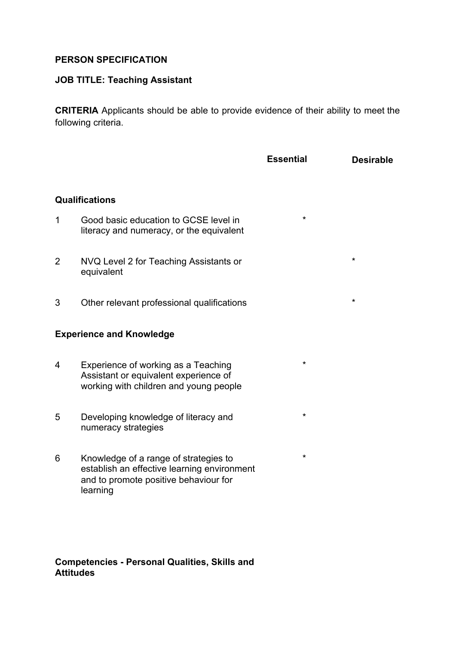## **PERSON SPECIFICATION**

### **JOB TITLE: Teaching Assistant**

**CRITERIA** Applicants should be able to provide evidence of their ability to meet the following criteria.

**Essential Desirable**

\*

\*

\*

\*

\*

### **Qualifications**

- 1 Good basic education to GCSE level in literacy and numeracy, or the equivalent
- 2 NVQ Level 2 for Teaching Assistants or equivalent
- 3 Other relevant professional qualifications \*

### **Experience and Knowledge**

- 4 Experience of working as a Teaching Assistant or equivalent experience of working with children and young people
- 5 Developing knowledge of literacy and numeracy strategies
- 6 Knowledge of a range of strategies to establish an effective learning environment and to promote positive behaviour for learning

### **Competencies - Personal Qualities, Skills and Attitudes**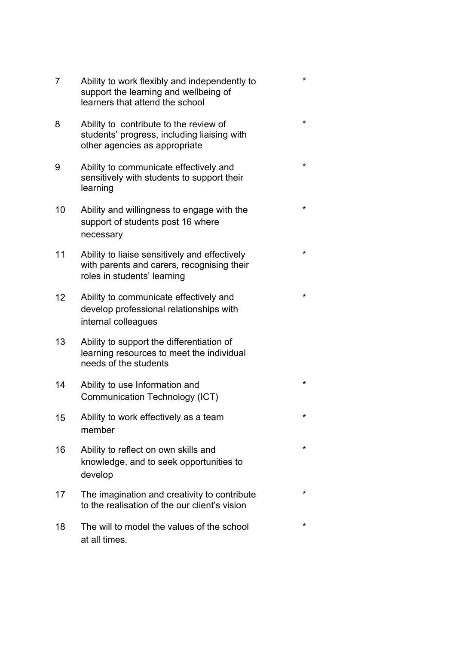7 Ability to work flexibly and independently to support the learning and wellbeing of learners that attend the school

\*

\*

\*

\*

\*

\*

\*

\*

\*

\*

\*

- 8 Ability to contribute to the review of students' progress, including liaising with other agencies as appropriate
- 9 Ability to communicate effectively and sensitively with students to support their learning
- 10 Ability and willingness to engage with the support of students post 16 where necessary
- 11 Ability to liaise sensitively and effectively with parents and carers, recognising their roles in students' learning
- 12 Ability to communicate effectively and develop professional relationships with internal colleagues
- 13 Ability to support the differentiation of learning resources to meet the individual needs of the students
- 14 Ability to use Information and Communication Technology (ICT)
- 15 Ability to work effectively as a team member
- 16 Ability to reflect on own skills and knowledge, and to seek opportunities to develop
- 17 The imagination and creativity to contribute to the realisation of the our client's vision
- 18 The will to model the values of the school at all times.